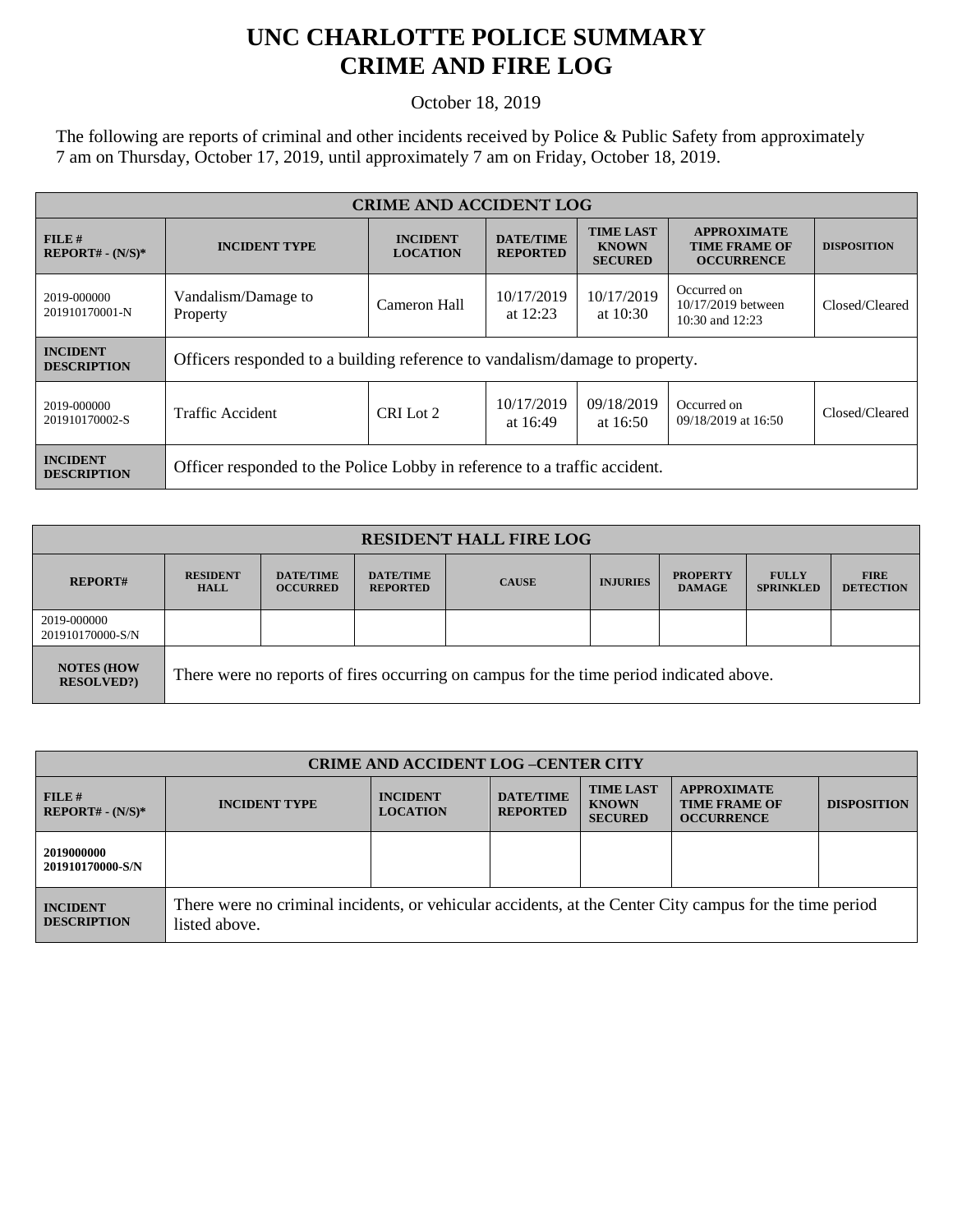## **UNC CHARLOTTE POLICE SUMMARY CRIME AND FIRE LOG**

October 18, 2019

The following are reports of criminal and other incidents received by Police & Public Safety from approximately 7 am on Thursday, October 17, 2019, until approximately 7 am on Friday, October 18, 2019.

| <b>CRIME AND ACCIDENT LOG</b>         |                                                                             |                                                                                                                                 |                          |                                                                 |                                                          |                |  |
|---------------------------------------|-----------------------------------------------------------------------------|---------------------------------------------------------------------------------------------------------------------------------|--------------------------|-----------------------------------------------------------------|----------------------------------------------------------|----------------|--|
| $FILE$ #<br>$REPORT# - (N/S)*$        | <b>INCIDENT TYPE</b>                                                        | <b>TIME LAST</b><br><b>INCIDENT</b><br><b>DATE/TIME</b><br><b>KNOWN</b><br><b>LOCATION</b><br><b>REPORTED</b><br><b>SECURED</b> |                          | <b>APPROXIMATE</b><br><b>TIME FRAME OF</b><br><b>OCCURRENCE</b> | <b>DISPOSITION</b>                                       |                |  |
| 2019-000000<br>201910170001-N         | Vandalism/Damage to<br>Property                                             | Cameron Hall                                                                                                                    | 10/17/2019<br>at $12:23$ | 10/17/2019<br>at $10:30$                                        | Occurred on<br>10/17/2019 between<br>$10:30$ and $12:23$ | Closed/Cleared |  |
| <b>INCIDENT</b><br><b>DESCRIPTION</b> | Officers responded to a building reference to vandalism/damage to property. |                                                                                                                                 |                          |                                                                 |                                                          |                |  |
| 2019-000000<br>201910170002-S         | Traffic Accident                                                            | CRI Lot 2                                                                                                                       | 10/17/2019<br>at 16:49   | 09/18/2019<br>at $16:50$                                        | Occurred on<br>09/18/2019 at 16:50                       | Closed/Cleared |  |
| <b>INCIDENT</b><br><b>DESCRIPTION</b> | Officer responded to the Police Lobby in reference to a traffic accident.   |                                                                                                                                 |                          |                                                                 |                                                          |                |  |

| <b>RESIDENT HALL FIRE LOG</b>         |                                                                                         |                                     |                                     |              |                 |                                  |                                  |                                 |
|---------------------------------------|-----------------------------------------------------------------------------------------|-------------------------------------|-------------------------------------|--------------|-----------------|----------------------------------|----------------------------------|---------------------------------|
| <b>REPORT#</b>                        | <b>RESIDENT</b><br><b>HALL</b>                                                          | <b>DATE/TIME</b><br><b>OCCURRED</b> | <b>DATE/TIME</b><br><b>REPORTED</b> | <b>CAUSE</b> | <b>INJURIES</b> | <b>PROPERTY</b><br><b>DAMAGE</b> | <b>FULLY</b><br><b>SPRINKLED</b> | <b>FIRE</b><br><b>DETECTION</b> |
| 2019-000000<br>201910170000-S/N       |                                                                                         |                                     |                                     |              |                 |                                  |                                  |                                 |
| <b>NOTES (HOW</b><br><b>RESOLVED?</b> | There were no reports of fires occurring on campus for the time period indicated above. |                                     |                                     |              |                 |                                  |                                  |                                 |

| <b>CRIME AND ACCIDENT LOG-CENTER CITY</b> |                                                                                                                          |                                    |                                     |                                                    |                                                                 |                    |
|-------------------------------------------|--------------------------------------------------------------------------------------------------------------------------|------------------------------------|-------------------------------------|----------------------------------------------------|-----------------------------------------------------------------|--------------------|
| FILE H<br>$REPORT# - (N/S)*$              | <b>INCIDENT TYPE</b>                                                                                                     | <b>INCIDENT</b><br><b>LOCATION</b> | <b>DATE/TIME</b><br><b>REPORTED</b> | <b>TIME LAST</b><br><b>KNOWN</b><br><b>SECURED</b> | <b>APPROXIMATE</b><br><b>TIME FRAME OF</b><br><b>OCCURRENCE</b> | <b>DISPOSITION</b> |
| 2019000000<br>201910170000-S/N            |                                                                                                                          |                                    |                                     |                                                    |                                                                 |                    |
| <b>INCIDENT</b><br><b>DESCRIPTION</b>     | There were no criminal incidents, or vehicular accidents, at the Center City campus for the time period<br>listed above. |                                    |                                     |                                                    |                                                                 |                    |